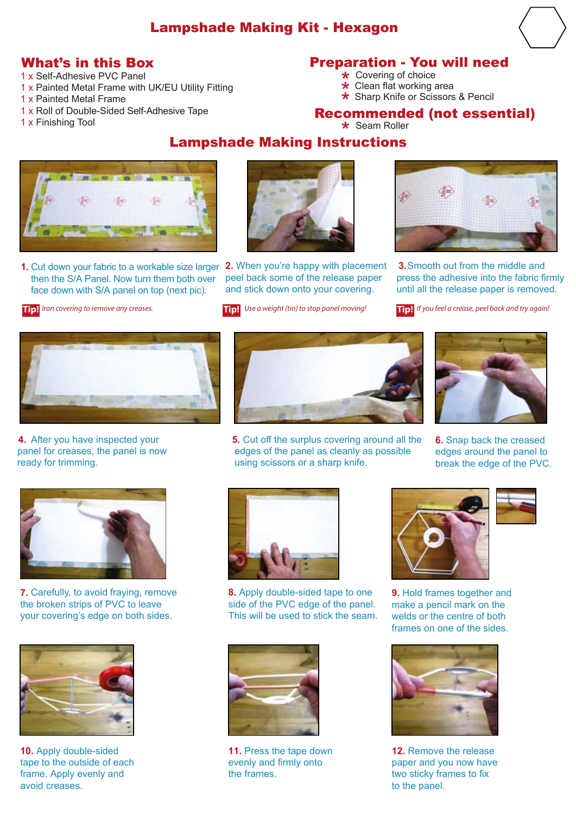### Lampshade Making Kit - Hexagon

- 1 x Self-Adhesive PVC Panel
- 1 x Painted Metal Frame with UK/EU Utility Fitting
- 1 x Painted Metal Frame
- 1 x Roll of Double-Sided Self-Adhesive Tape
- 1 x Finishing Tool

#### What's in this Box Preparation - You will need

- Covering of choice
- **★** Covering of choice<br>★ Clean flat working area
- $\star$  Clean flat working area<br> $\star$  Sharp Knife or Scissors & Pencil \*

## **Recommended (not essential)**<br>\* Seam Roller

# Lampshade Making Instructions Seam Roller \*



**1.**  Cut down your fabric to a workable size larger **2.** When you're happy with placement then the S/A Panel. Now turn them both over face down with S/A panel on top (next pic).

**Tip!** *Iron covering to remove any creases.*



peel back some of the release paper and stick down onto your covering.

**Tip!** Use a weight (tin) to stop panel moving!



**3.** Smooth out from the middle and press the adhesive into the fabric firmly until all the release paper is removed.





**4.**  After you have inspected your panel for creases, the panel is now ready for trimming.



**5.** Cut off the surplus covering around all the edges of the panel as cleanly as possible using scissors or a sharp knife.



**6.** Snap back the creased edges around the panel to break the edge of the PVC.



**7.** Carefully, to avoid fraying, remove the broken strips of PVC to leave your covering's edge on both sides.



**10.** Apply double-sided tape to the outside of each frame. Apply evenly and avoid creases.



**8.** Apply double-sided tape to one side of the PVC edge of the panel. This will be used to stick the seam.



**9. Hold frames together and** make a pencil mark on the welds or the centre of both frames on one of the sides.



**11.** Press the tape down evenly and firmly onto the frames.



**12.** Remove the release paper and you now have two sticky frames to fix to the panel.